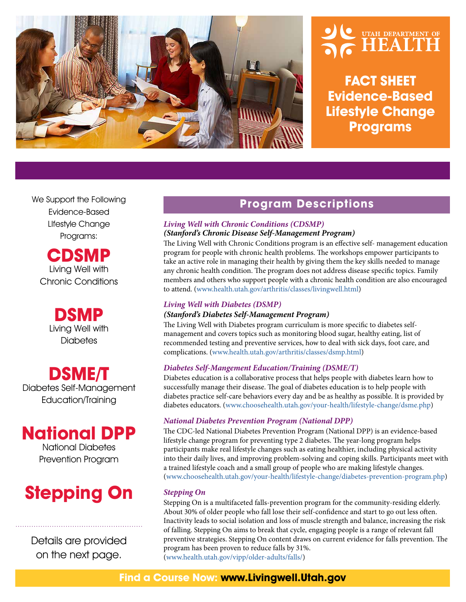

# UTAH DEPARTMENT OF

**FACT SHEET Evidence-Based Lifestyle Change Programs**

We Support the Following Evidence-Based LIfestyle Change Programs:

**CDSMP**  Living Well with Chronic Conditions

> **DSMP** Living Well with **Diabetes**

**DSME/T** Diabetes Self-Management Education/Training

### **National DPP**

National Diabetes Prevention Program

## **Stepping On**

Details are provided on the next page.

#### **Program Descriptions**

#### *Living Well with Chronic Conditions (CDSMP) (Stanford's Chronic Disease Self-Management Program)*

The Living Well with Chronic Conditions program is an effective self- management education program for people with chronic health problems. The workshops empower participants to take an active role in managing their health by giving them the key skills needed to manage any chronic health condition. The program does not address disease specific topics. Family members and others who support people with a chronic health condition are also encouraged to attend. (www.health.utah.gov/arthritis/classes/livingwell.html)

#### *Living Well with Diabetes (DSMP)*

#### *(Stanford's Diabetes Self-Management Program)*

The Living Well with Diabetes program curriculum is more specific to diabetes selfmanagement and covers topics such as monitoring blood sugar, healthy eating, list of recommended testing and preventive services, how to deal with sick days, foot care, and complications. (www.health.utah.gov/arthritis/classes/dsmp.html)

#### *Diabetes Self-Mangement Education/Training (DSME/T)*

Diabetes education is a collaborative process that helps people with diabetes learn how to successfully manage their disease. The goal of diabetes education is to help people with diabetes practice self-care behaviors every day and be as healthy as possible. It is provided by diabetes educators. (www.choosehealth.utah.gov/your-health/lifestyle-change/dsme.php)

#### *National Diabetes Prevention Program (National DPP)*

The CDC-led National Diabetes Prevention Program (National DPP) is an evidence-based lifestyle change program for preventing type 2 diabetes. The year-long program helps participants make real lifestyle changes such as eating healthier, including physical activity into their daily lives, and improving problem-solving and coping skills. Participants meet with a trained lifestyle coach and a small group of people who are making lifestyle changes. (www.choosehealth.utah.gov/your-health/lifestyle-change/diabetes-prevention-program.php)

#### *Stepping On*

Stepping On is a multifaceted falls-prevention program for the community-residing elderly. About 30% of older people who fall lose their self-confidence and start to go out less often. Inactivity leads to social isolation and loss of muscle strength and balance, increasing the risk of falling. Stepping On aims to break that cycle, engaging people is a range of relevant fall preventive strategies. Stepping On content draws on current evidence for falls prevention. The program has been proven to reduce falls by 31%. (www.health.utah.gov/vipp/older-adults/falls/)

#### **Find a Course Now: www.Livingwell.Utah.gov**